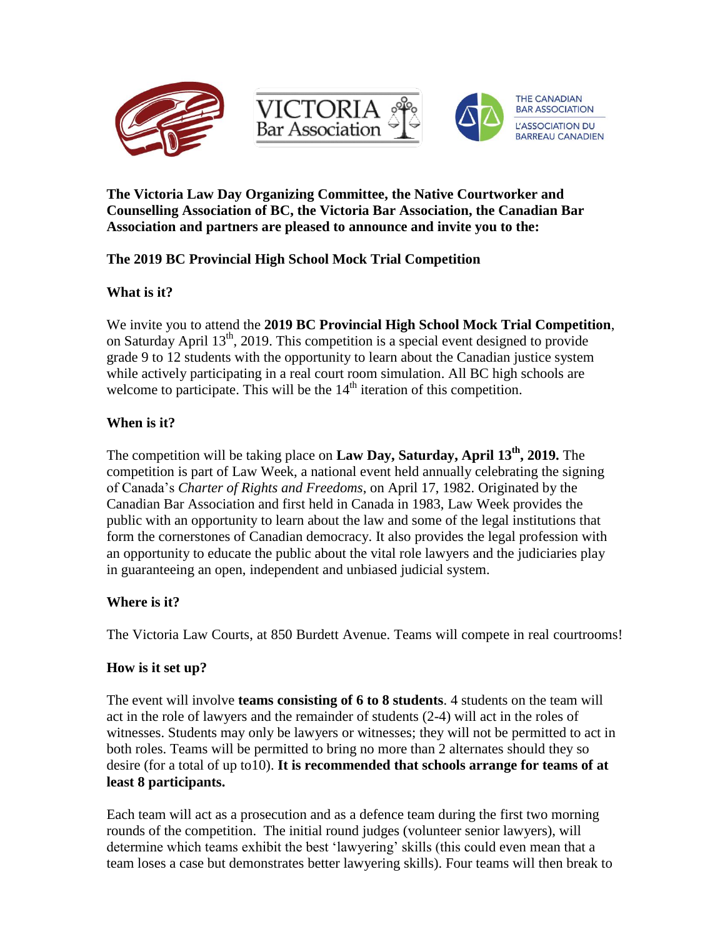

**The Victoria Law Day Organizing Committee, the Native Courtworker and Counselling Association of BC, the Victoria Bar Association, the Canadian Bar Association and partners are pleased to announce and invite you to the:**

# **The 2019 BC Provincial High School Mock Trial Competition**

## **What is it?**

We invite you to attend the **2019 BC Provincial High School Mock Trial Competition**, on Saturday April  $13<sup>th</sup>$ , 2019. This competition is a special event designed to provide grade 9 to 12 students with the opportunity to learn about the Canadian justice system while actively participating in a real court room simulation. All BC high schools are welcome to participate. This will be the 14<sup>th</sup> iteration of this competition.

## **When is it?**

The competition will be taking place on **Law Day, Saturday, April 13th, 2019.** The competition is part of Law Week, a national event held annually celebrating the signing of Canada's *Charter of Rights and Freedoms*, on April 17, 1982. Originated by the Canadian Bar Association and first held in Canada in 1983, Law Week provides the public with an opportunity to learn about the law and some of the legal institutions that form the cornerstones of Canadian democracy. It also provides the legal profession with an opportunity to educate the public about the vital role lawyers and the judiciaries play in guaranteeing an open, independent and unbiased judicial system.

## **Where is it?**

The Victoria Law Courts, at 850 Burdett Avenue. Teams will compete in real courtrooms!

## **How is it set up?**

The event will involve **teams consisting of 6 to 8 students**. 4 students on the team will act in the role of lawyers and the remainder of students (2-4) will act in the roles of witnesses. Students may only be lawyers or witnesses; they will not be permitted to act in both roles. Teams will be permitted to bring no more than 2 alternates should they so desire (for a total of up to10). **It is recommended that schools arrange for teams of at least 8 participants.** 

Each team will act as a prosecution and as a defence team during the first two morning rounds of the competition. The initial round judges (volunteer senior lawyers), will determine which teams exhibit the best 'lawyering' skills (this could even mean that a team loses a case but demonstrates better lawyering skills). Four teams will then break to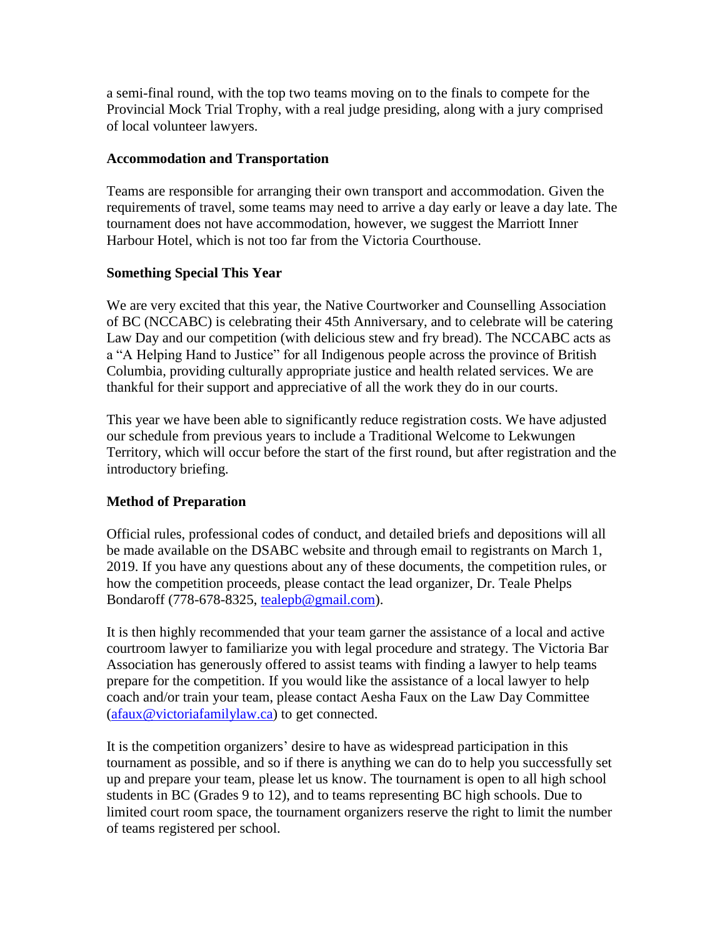a semi-final round, with the top two teams moving on to the finals to compete for the Provincial Mock Trial Trophy, with a real judge presiding, along with a jury comprised of local volunteer lawyers.

#### **Accommodation and Transportation**

Teams are responsible for arranging their own transport and accommodation. Given the requirements of travel, some teams may need to arrive a day early or leave a day late. The tournament does not have accommodation, however, we suggest the Marriott Inner Harbour Hotel, which is not too far from the Victoria Courthouse.

#### **Something Special This Year**

We are very excited that this year, the Native Courtworker and Counselling Association of BC (NCCABC) is celebrating their 45th Anniversary, and to celebrate will be catering Law Day and our competition (with delicious stew and fry bread). The NCCABC acts as a "A Helping Hand to Justice" for all Indigenous people across the province of British Columbia, providing culturally appropriate justice and health related services. We are thankful for their support and appreciative of all the work they do in our courts.

This year we have been able to significantly reduce registration costs. We have adjusted our schedule from previous years to include a Traditional Welcome to Lekwungen Territory, which will occur before the start of the first round, but after registration and the introductory briefing.

## **Method of Preparation**

Official rules, professional codes of conduct, and detailed briefs and depositions will all be made available on the DSABC website and through email to registrants on March 1, 2019. If you have any questions about any of these documents, the competition rules, or how the competition proceeds, please contact the lead organizer, Dr. Teale Phelps Bondaroff (778-678-8325, [tealepb@gmail.com\)](mailto:tealepb@gmail.com).

It is then highly recommended that your team garner the assistance of a local and active courtroom lawyer to familiarize you with legal procedure and strategy. The Victoria Bar Association has generously offered to assist teams with finding a lawyer to help teams prepare for the competition. If you would like the assistance of a local lawyer to help coach and/or train your team, please contact Aesha Faux on the Law Day Committee [\(afaux@victoriafamilylaw.ca\)](mailto:afaux@victoriafamilylaw.ca) to get connected.

It is the competition organizers' desire to have as widespread participation in this tournament as possible, and so if there is anything we can do to help you successfully set up and prepare your team, please let us know. The tournament is open to all high school students in BC (Grades 9 to 12), and to teams representing BC high schools. Due to limited court room space, the tournament organizers reserve the right to limit the number of teams registered per school.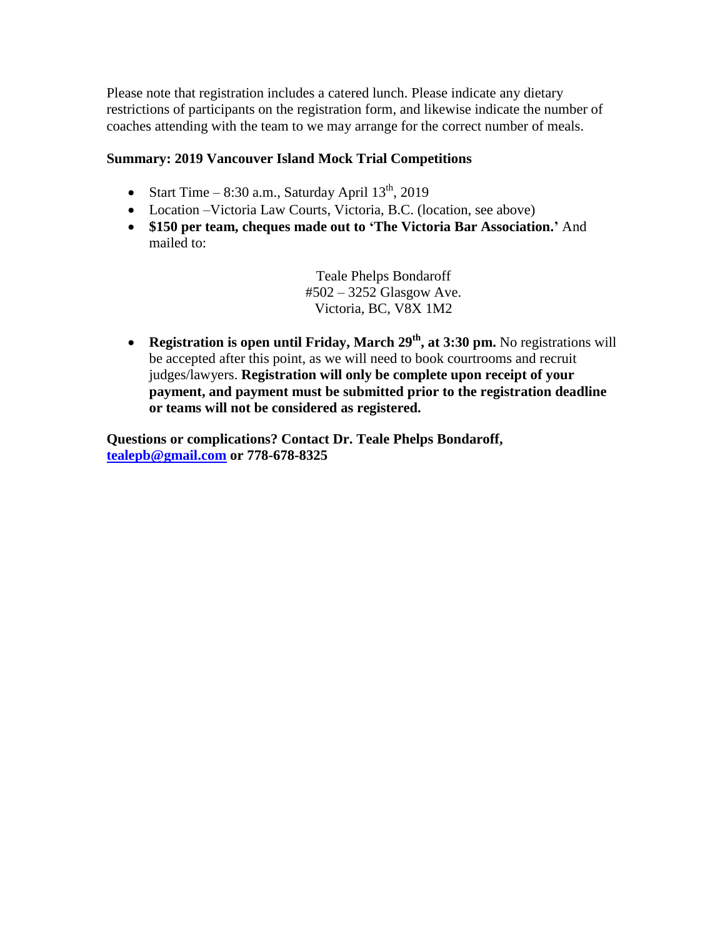Please note that registration includes a catered lunch. Please indicate any dietary restrictions of participants on the registration form, and likewise indicate the number of coaches attending with the team to we may arrange for the correct number of meals.

# **Summary: 2019 Vancouver Island Mock Trial Competitions**

- Start Time 8:30 a.m., Saturday April  $13<sup>th</sup>$ , 2019
- Location –Victoria Law Courts, Victoria, B.C. (location, see above)
- **\$150 per team, cheques made out to 'The Victoria Bar Association.'** And mailed to:

Teale Phelps Bondaroff #502 – 3252 Glasgow Ave. Victoria, BC, V8X 1M2

 **Registration is open until Friday, March 29th , at 3:30 pm.** No registrations will be accepted after this point, as we will need to book courtrooms and recruit judges/lawyers. **Registration will only be complete upon receipt of your payment, and payment must be submitted prior to the registration deadline or teams will not be considered as registered.**

**Questions or complications? Contact Dr. Teale Phelps Bondaroff, [tealepb@gmail.com](mailto:tealepb@gmail.com) or 778-678-8325**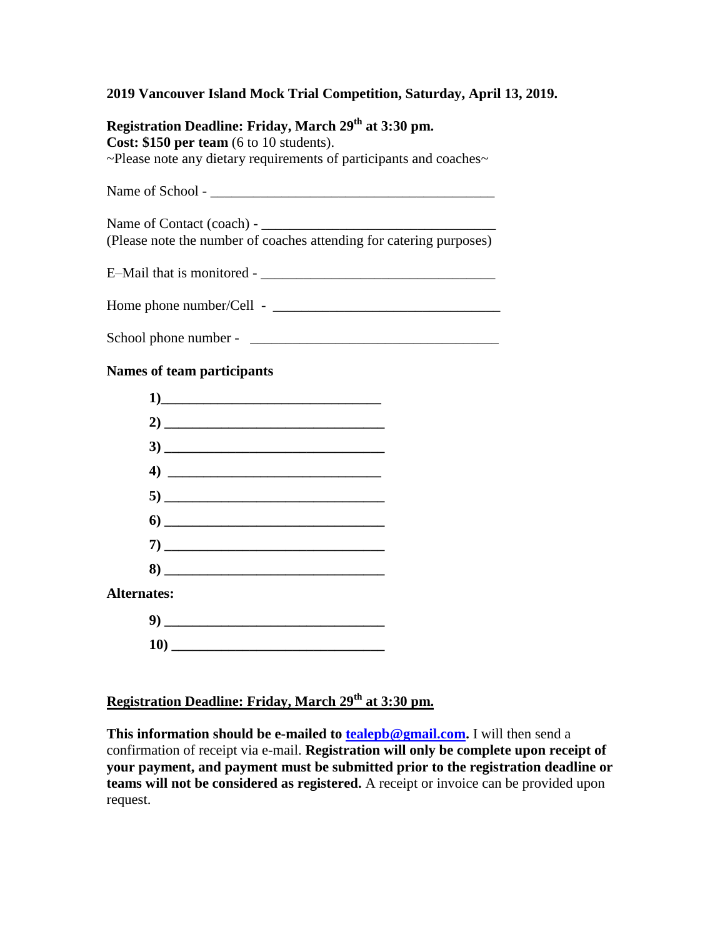#### **2019 Vancouver Island Mock Trial Competition, Saturday, April 13, 2019.**

**Registration Deadline: Friday, March 29th at 3:30 pm. Cost: \$150 per team** (6 to 10 students). ~Please note any dietary requirements of participants and coaches~ Name of School - \_\_\_\_\_\_\_\_\_\_\_\_\_\_\_\_\_\_\_\_\_\_\_\_\_\_\_\_\_\_\_\_\_\_\_\_\_\_\_\_

Name of Contact (coach) - \_\_\_\_\_\_\_\_\_\_\_\_\_\_\_\_\_\_\_\_\_\_\_\_\_\_\_\_\_\_\_\_\_ (Please note the number of coaches attending for catering purposes)

E–Mail that is monitored -  $\frac{1}{2}$  =  $\frac{1}{2}$  =  $\frac{1}{2}$  =  $\frac{1}{2}$  =  $\frac{1}{2}$  =  $\frac{1}{2}$  =  $\frac{1}{2}$  =  $\frac{1}{2}$  =  $\frac{1}{2}$  =  $\frac{1}{2}$  =  $\frac{1}{2}$  =  $\frac{1}{2}$  =  $\frac{1}{2}$  =  $\frac{1}{2}$  =  $\frac{1}{2}$  =  $\frac{1}{2}$  =  $\$ 

Home phone number/Cell - \_\_\_\_\_\_\_\_\_\_\_\_\_\_\_\_\_\_\_\_\_\_\_\_\_\_\_\_\_\_\_\_

School phone number - \_\_\_\_\_\_\_\_\_\_\_\_\_\_\_\_\_\_\_\_\_\_\_\_\_\_\_\_\_\_\_\_\_\_\_

#### **Names of team participants**

|                    | 1)                                                                                                                                                                                                                                                                                                                                                                                                                                                                                       |
|--------------------|------------------------------------------------------------------------------------------------------------------------------------------------------------------------------------------------------------------------------------------------------------------------------------------------------------------------------------------------------------------------------------------------------------------------------------------------------------------------------------------|
|                    |                                                                                                                                                                                                                                                                                                                                                                                                                                                                                          |
|                    |                                                                                                                                                                                                                                                                                                                                                                                                                                                                                          |
|                    |                                                                                                                                                                                                                                                                                                                                                                                                                                                                                          |
|                    |                                                                                                                                                                                                                                                                                                                                                                                                                                                                                          |
|                    | $\bullet$ $\begin{tabular}{c} \hline \multicolumn{3}{c}{} & \multicolumn{3}{c}{} & \multicolumn{3}{c}{} \\ \multicolumn{3}{c}{} & \multicolumn{3}{c}{} & \multicolumn{3}{c}{} \\ \multicolumn{3}{c}{} & \multicolumn{3}{c}{} & \multicolumn{3}{c}{} \\ \multicolumn{3}{c}{} & \multicolumn{3}{c}{} & \multicolumn{3}{c}{} \\ \multicolumn{3}{c}{} & \multicolumn{3}{c}{} & \multicolumn{3}{c}{} \\ \multicolumn{3}{c}{} & \multicolumn{3}{c}{} & \multicolumn{3}{c}{} \\ \multicolumn{3$ |
|                    |                                                                                                                                                                                                                                                                                                                                                                                                                                                                                          |
|                    | $\bf 8)$                                                                                                                                                                                                                                                                                                                                                                                                                                                                                 |
| <b>Alternates:</b> |                                                                                                                                                                                                                                                                                                                                                                                                                                                                                          |
|                    |                                                                                                                                                                                                                                                                                                                                                                                                                                                                                          |
|                    |                                                                                                                                                                                                                                                                                                                                                                                                                                                                                          |

# **Registration Deadline: Friday, March 29th at 3:30 pm.**

**This information should be e-mailed to [tealepb@gmail.com.](mailto:tealepb@gmail.com)** I will then send a confirmation of receipt via e-mail. **Registration will only be complete upon receipt of your payment, and payment must be submitted prior to the registration deadline or teams will not be considered as registered.** A receipt or invoice can be provided upon request.